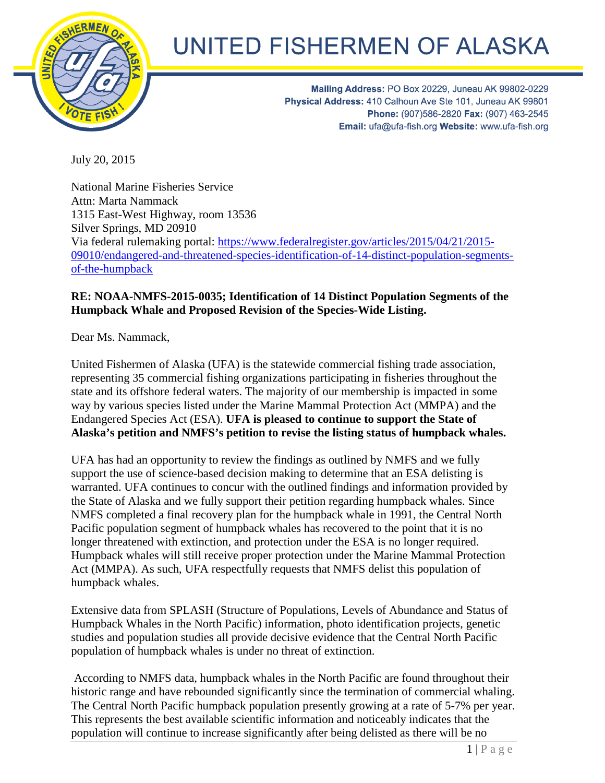

## UNITED FISHERMEN OF ALASKA

Mailing Address: PO Box 20229, Juneau AK 99802-0229 Physical Address: 410 Calhoun Ave Ste 101, Juneau AK 99801 Phone: (907)586-2820 Fax: (907) 463-2545 Email: ufa@ufa-fish.org Website: www.ufa-fish.org

July 20, 2015

National Marine Fisheries Service Attn: Marta Nammack 1315 East-West Highway, room 13536 Silver Springs, MD 20910 Via federal rulemaking portal: [https://www.federalregister.gov/articles/2015/04/21/2015-](https://www.federalregister.gov/articles/2015/04/21/2015-09010/endangered-and-threatened-species-identification-of-14-distinct-population-segments-of-the-humpback) [09010/endangered-and-threatened-species-identification-of-14-distinct-population-segments](https://www.federalregister.gov/articles/2015/04/21/2015-09010/endangered-and-threatened-species-identification-of-14-distinct-population-segments-of-the-humpback)[of-the-humpback](https://www.federalregister.gov/articles/2015/04/21/2015-09010/endangered-and-threatened-species-identification-of-14-distinct-population-segments-of-the-humpback)

## **RE: NOAA-NMFS-2015-0035; Identification of 14 Distinct Population Segments of the Humpback Whale and Proposed Revision of the Species-Wide Listing.**

Dear Ms. Nammack,

United Fishermen of Alaska (UFA) is the statewide commercial fishing trade association, representing 35 commercial fishing organizations participating in fisheries throughout the state and its offshore federal waters. The majority of our membership is impacted in some way by various species listed under the Marine Mammal Protection Act (MMPA) and the Endangered Species Act (ESA). **UFA is pleased to continue to support the State of Alaska's petition and NMFS's petition to revise the listing status of humpback whales.** 

UFA has had an opportunity to review the findings as outlined by NMFS and we fully support the use of science-based decision making to determine that an ESA delisting is warranted. UFA continues to concur with the outlined findings and information provided by the State of Alaska and we fully support their petition regarding humpback whales. Since NMFS completed a final recovery plan for the humpback whale in 1991, the Central North Pacific population segment of humpback whales has recovered to the point that it is no longer threatened with extinction, and protection under the ESA is no longer required. Humpback whales will still receive proper protection under the Marine Mammal Protection Act (MMPA). As such, UFA respectfully requests that NMFS delist this population of humpback whales.

Extensive data from SPLASH (Structure of Populations, Levels of Abundance and Status of Humpback Whales in the North Pacific) information, photo identification projects, genetic studies and population studies all provide decisive evidence that the Central North Pacific population of humpback whales is under no threat of extinction.

According to NMFS data, humpback whales in the North Pacific are found throughout their historic range and have rebounded significantly since the termination of commercial whaling. The Central North Pacific humpback population presently growing at a rate of 5-7% per year. This represents the best available scientific information and noticeably indicates that the population will continue to increase significantly after being delisted as there will be no